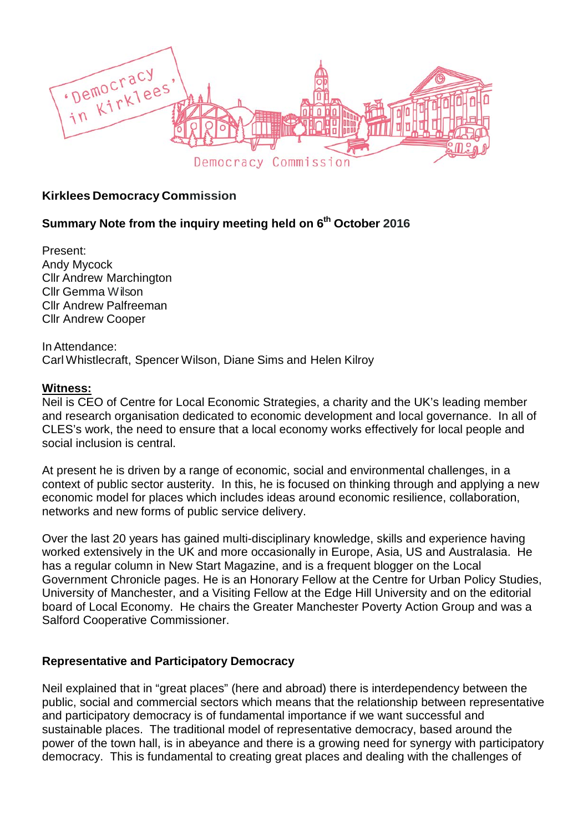

## **Kirklees Democracy Commission**

# **Summary Note from the inquiry meeting held on 6th October 2016**

Present: Andy Mycock Cllr Andrew Marchington Cllr Gemma Wilson Cllr Andrew Palfreeman Cllr Andrew Cooper

InAttendance: Carl Whistlecraft, Spencer Wilson, Diane Sims and Helen Kilroy

#### **Witness:**

Neil is CEO of Centre for Local Economic Strategies, a charity and the UK's leading member and research organisation dedicated to economic development and local governance. In all of CLES's work, the need to ensure that a local economy works effectively for local people and social inclusion is central.

At present he is driven by a range of economic, social and environmental challenges, in a context of public sector austerity. In this, he is focused on thinking through and applying a new economic model for places which includes ideas around economic resilience, collaboration, networks and new forms of public service delivery.

Over the last 20 years has gained multi-disciplinary knowledge, skills and experience having worked extensively in the UK and more occasionally in Europe, Asia, US and Australasia. He has a regular column in New Start Magazine, and is a frequent blogger on the Local Government Chronicle pages. He is an Honorary Fellow at the Centre for Urban Policy Studies, University of Manchester, and a Visiting Fellow at the Edge Hill University and on the editorial board of Local Economy. He chairs the Greater Manchester Poverty Action Group and was a Salford Cooperative Commissioner.

### **Representative and Participatory Democracy**

Neil explained that in "great places" (here and abroad) there is interdependency between the public, social and commercial sectors which means that the relationship between representative and participatory democracy is of fundamental importance if we want successful and sustainable places. The traditional model of representative democracy, based around the power of the town hall, is in abeyance and there is a growing need for synergy with participatory democracy. This is fundamental to creating great places and dealing with the challenges of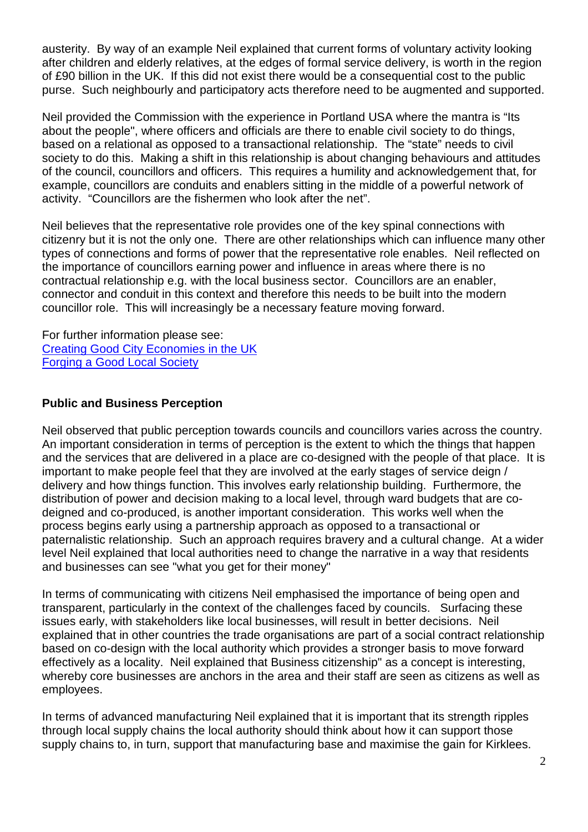austerity. By way of an example Neil explained that current forms of voluntary activity looking after children and elderly relatives, at the edges of formal service delivery, is worth in the region of £90 billion in the UK. If this did not exist there would be a consequential cost to the public purse. Such neighbourly and participatory acts therefore need to be augmented and supported.

Neil provided the Commission with the experience in Portland USA where the mantra is "Its about the people", where officers and officials are there to enable civil society to do things, based on a relational as opposed to a transactional relationship. The "state" needs to civil society to do this. Making a shift in this relationship is about changing behaviours and attitudes of the council, councillors and officers. This requires a humility and acknowledgement that, for example, councillors are conduits and enablers sitting in the middle of a powerful network of activity. "Councillors are the fishermen who look after the net".

Neil believes that the representative role provides one of the key spinal connections with citizenry but it is not the only one. There are other relationships which can influence many other types of connections and forms of power that the representative role enables. Neil reflected on the importance of councillors earning power and influence in areas where there is no contractual relationship e.g. with the local business sector. Councillors are an enabler, connector and conduit in this context and therefore this needs to be built into the modern councillor role. This will increasingly be a necessary feature moving forward.

For further information please see: [Creating Good City Economies in the UK](http://www.cles.org.uk/wp-content/uploads/2016/11/Good-City-Economies-Report.pdf) [Forging a Good Local Society](http://www.cles.org.uk/wp-content/uploads/2016/07/Forging-a-good-local-society3.pdf)

## **Public and Business Perception**

Neil observed that public perception towards councils and councillors varies across the country. An important consideration in terms of perception is the extent to which the things that happen and the services that are delivered in a place are co-designed with the people of that place. It is important to make people feel that they are involved at the early stages of service deign / delivery and how things function. This involves early relationship building. Furthermore, the distribution of power and decision making to a local level, through ward budgets that are codeigned and co-produced, is another important consideration. This works well when the process begins early using a partnership approach as opposed to a transactional or paternalistic relationship. Such an approach requires bravery and a cultural change. At a wider level Neil explained that local authorities need to change the narrative in a way that residents and businesses can see "what you get for their money"

In terms of communicating with citizens Neil emphasised the importance of being open and transparent, particularly in the context of the challenges faced by councils. Surfacing these issues early, with stakeholders like local businesses, will result in better decisions. Neil explained that in other countries the trade organisations are part of a social contract relationship based on co-design with the local authority which provides a stronger basis to move forward effectively as a locality. Neil explained that Business citizenship" as a concept is interesting, whereby core businesses are anchors in the area and their staff are seen as citizens as well as employees.

In terms of advanced manufacturing Neil explained that it is important that its strength ripples through local supply chains the local authority should think about how it can support those supply chains to, in turn, support that manufacturing base and maximise the gain for Kirklees.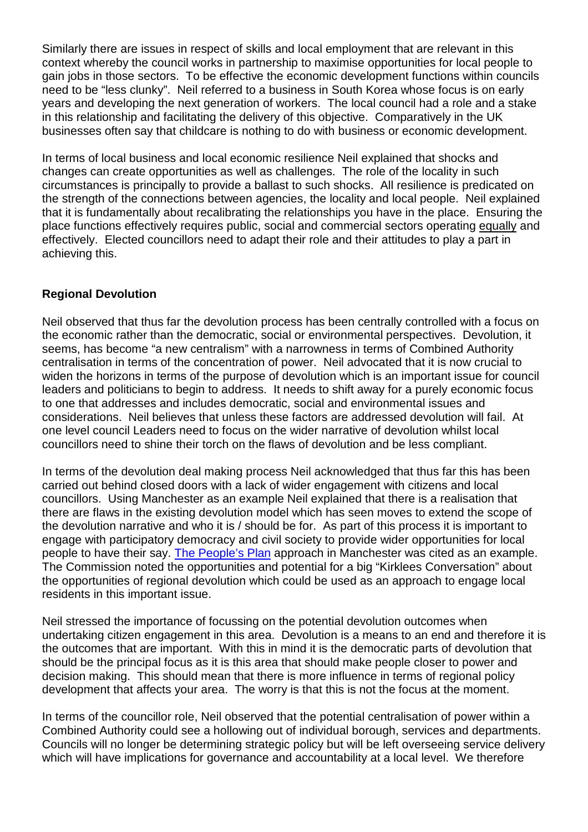Similarly there are issues in respect of skills and local employment that are relevant in this context whereby the council works in partnership to maximise opportunities for local people to gain jobs in those sectors. To be effective the economic development functions within councils need to be "less clunky". Neil referred to a business in South Korea whose focus is on early years and developing the next generation of workers. The local council had a role and a stake in this relationship and facilitating the delivery of this objective. Comparatively in the UK businesses often say that childcare is nothing to do with business or economic development.

In terms of local business and local economic resilience Neil explained that shocks and changes can create opportunities as well as challenges. The role of the locality in such circumstances is principally to provide a ballast to such shocks. All resilience is predicated on the strength of the connections between agencies, the locality and local people. Neil explained that it is fundamentally about recalibrating the relationships you have in the place. Ensuring the place functions effectively requires public, social and commercial sectors operating equally and effectively. Elected councillors need to adapt their role and their attitudes to play a part in achieving this.

## **Regional Devolution**

Neil observed that thus far the devolution process has been centrally controlled with a focus on the economic rather than the democratic, social or environmental perspectives. Devolution, it seems, has become "a new centralism" with a narrowness in terms of Combined Authority centralisation in terms of the concentration of power. Neil advocated that it is now crucial to widen the horizons in terms of the purpose of devolution which is an important issue for council leaders and politicians to begin to address. It needs to shift away for a purely economic focus to one that addresses and includes democratic, social and environmental issues and considerations. Neil believes that unless these factors are addressed devolution will fail. At one level council Leaders need to focus on the wider narrative of devolution whilst local councillors need to shine their torch on the flaws of devolution and be less compliant.

In terms of the devolution deal making process Neil acknowledged that thus far this has been carried out behind closed doors with a lack of wider engagement with citizens and local councillors. Using Manchester as an example Neil explained that there is a realisation that there are flaws in the existing devolution model which has seen moves to extend the scope of the devolution narrative and who it is / should be for. As part of this process it is important to engage with participatory democracy and civil society to provide wider opportunities for local people to have their say. [The People's Plan](http://www.peoplesplangm.org.uk/) approach in Manchester was cited as an example. The Commission noted the opportunities and potential for a big "Kirklees Conversation" about the opportunities of regional devolution which could be used as an approach to engage local residents in this important issue.

Neil stressed the importance of focussing on the potential devolution outcomes when undertaking citizen engagement in this area. Devolution is a means to an end and therefore it is the outcomes that are important. With this in mind it is the democratic parts of devolution that should be the principal focus as it is this area that should make people closer to power and decision making. This should mean that there is more influence in terms of regional policy development that affects your area. The worry is that this is not the focus at the moment.

In terms of the councillor role, Neil observed that the potential centralisation of power within a Combined Authority could see a hollowing out of individual borough, services and departments. Councils will no longer be determining strategic policy but will be left overseeing service delivery which will have implications for governance and accountability at a local level. We therefore